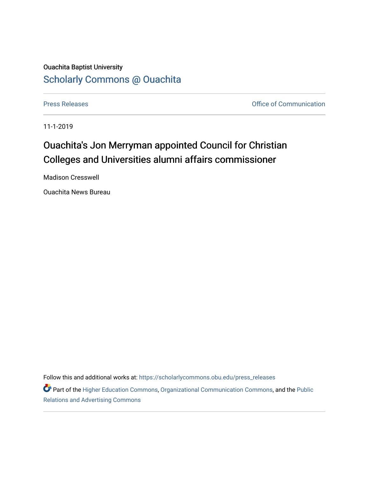## Ouachita Baptist University [Scholarly Commons @ Ouachita](https://scholarlycommons.obu.edu/)

[Press Releases](https://scholarlycommons.obu.edu/press_releases) **Press Releases Communication Press Releases Office of Communication** 

11-1-2019

## Ouachita's Jon Merryman appointed Council for Christian Colleges and Universities alumni affairs commissioner

Madison Cresswell

Ouachita News Bureau

Follow this and additional works at: [https://scholarlycommons.obu.edu/press\\_releases](https://scholarlycommons.obu.edu/press_releases?utm_source=scholarlycommons.obu.edu%2Fpress_releases%2F816&utm_medium=PDF&utm_campaign=PDFCoverPages)

Part of the [Higher Education Commons,](http://network.bepress.com/hgg/discipline/1245?utm_source=scholarlycommons.obu.edu%2Fpress_releases%2F816&utm_medium=PDF&utm_campaign=PDFCoverPages) [Organizational Communication Commons,](http://network.bepress.com/hgg/discipline/335?utm_source=scholarlycommons.obu.edu%2Fpress_releases%2F816&utm_medium=PDF&utm_campaign=PDFCoverPages) and the [Public](http://network.bepress.com/hgg/discipline/336?utm_source=scholarlycommons.obu.edu%2Fpress_releases%2F816&utm_medium=PDF&utm_campaign=PDFCoverPages) [Relations and Advertising Commons](http://network.bepress.com/hgg/discipline/336?utm_source=scholarlycommons.obu.edu%2Fpress_releases%2F816&utm_medium=PDF&utm_campaign=PDFCoverPages)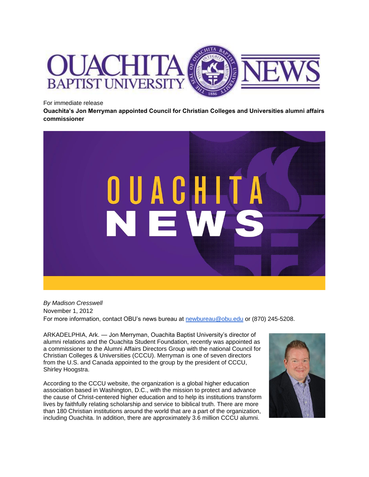

For immediate release

**Ouachita's Jon Merryman appointed Council for Christian Colleges and Universities alumni affairs commissioner**



*By Madison Cresswell* November 1, 2012 For more information, contact OBU's news bureau at [newbureau@obu.edu](mailto:newbureau@obu.edu) or (870) 245-5208.

ARKADELPHIA, Ark. — Jon Merryman, Ouachita Baptist University's director of alumni relations and the Ouachita Student Foundation, recently was appointed as a commissioner to the Alumni Affairs Directors Group with the national Council for Christian Colleges & Universities (CCCU). Merryman is one of seven directors from the U.S. and Canada appointed to the group by the president of CCCU, Shirley Hoogstra.

According to the CCCU website, the organization is a global higher education association based in Washington, D.C., with the mission to protect and advance the cause of Christ-centered higher education and to help its institutions transform lives by faithfully relating scholarship and service to biblical truth. There are more than 180 Christian institutions around the world that are a part of the organization, including Ouachita. In addition, there are approximately 3.6 million CCCU alumni.